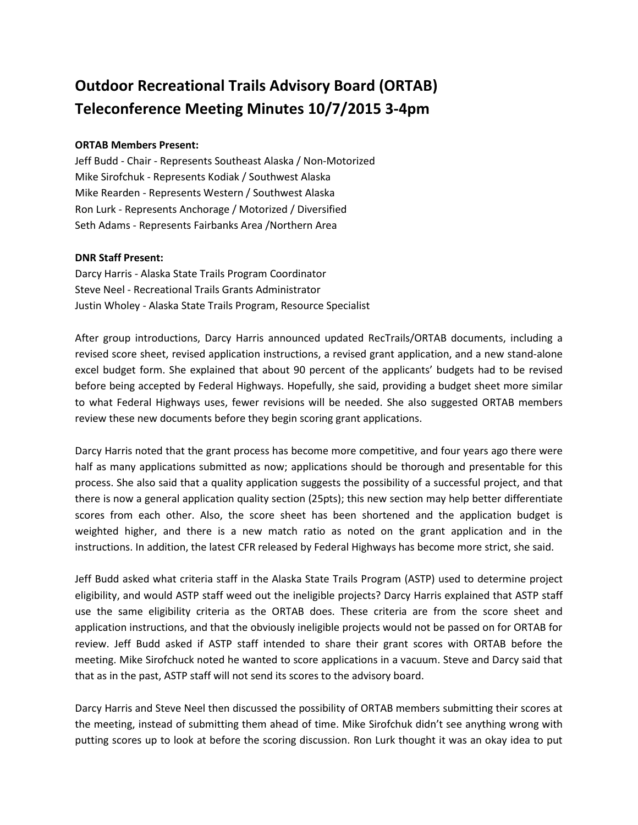## **Outdoor Recreational Trails Advisory Board (ORTAB) Teleconference Meeting Minutes 10/7/2015 3-4pm**

## **ORTAB Members Present:**

Jeff Budd - Chair - Represents Southeast Alaska / Non-Motorized Mike Sirofchuk - Represents Kodiak / Southwest Alaska Mike Rearden - Represents Western / Southwest Alaska Ron Lurk - Represents Anchorage / Motorized / Diversified Seth Adams - Represents Fairbanks Area /Northern Area

## **DNR Staff Present:**

Darcy Harris - Alaska State Trails Program Coordinator Steve Neel - Recreational Trails Grants Administrator Justin Wholey - Alaska State Trails Program, Resource Specialist

After group introductions, Darcy Harris announced updated RecTrails/ORTAB documents, including a revised score sheet, revised application instructions, a revised grant application, and a new stand-alone excel budget form. She explained that about 90 percent of the applicants' budgets had to be revised before being accepted by Federal Highways. Hopefully, she said, providing a budget sheet more similar to what Federal Highways uses, fewer revisions will be needed. She also suggested ORTAB members review these new documents before they begin scoring grant applications.

Darcy Harris noted that the grant process has become more competitive, and four years ago there were half as many applications submitted as now; applications should be thorough and presentable for this process. She also said that a quality application suggests the possibility of a successful project, and that there is now a general application quality section (25pts); this new section may help better differentiate scores from each other. Also, the score sheet has been shortened and the application budget is weighted higher, and there is a new match ratio as noted on the grant application and in the instructions. In addition, the latest CFR released by Federal Highways has become more strict, she said.

Jeff Budd asked what criteria staff in the Alaska State Trails Program (ASTP) used to determine project eligibility, and would ASTP staff weed out the ineligible projects? Darcy Harris explained that ASTP staff use the same eligibility criteria as the ORTAB does. These criteria are from the score sheet and application instructions, and that the obviously ineligible projects would not be passed on for ORTAB for review. Jeff Budd asked if ASTP staff intended to share their grant scores with ORTAB before the meeting. Mike Sirofchuck noted he wanted to score applications in a vacuum. Steve and Darcy said that that as in the past, ASTP staff will not send its scores to the advisory board.

Darcy Harris and Steve Neel then discussed the possibility of ORTAB members submitting their scores at the meeting, instead of submitting them ahead of time. Mike Sirofchuk didn't see anything wrong with putting scores up to look at before the scoring discussion. Ron Lurk thought it was an okay idea to put